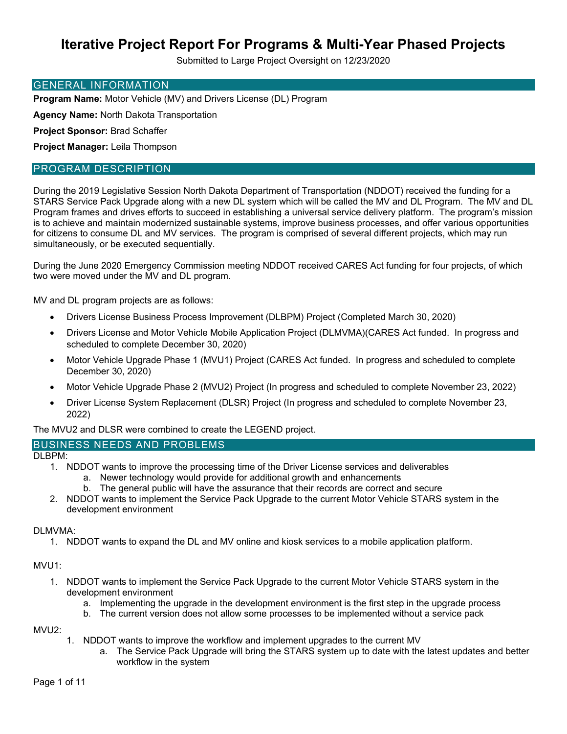Submitted to Large Project Oversight on 12/23/2020

#### GENERAL INFORMATION

**Program Name:** Motor Vehicle (MV) and Drivers License (DL) Program

**Agency Name:** North Dakota Transportation

**Project Sponsor:** Brad Schaffer

**Project Manager:** Leila Thompson

#### PROGRAM DESCRIPTION

During the 2019 Legislative Session North Dakota Department of Transportation (NDDOT) received the funding for a STARS Service Pack Upgrade along with a new DL system which will be called the MV and DL Program. The MV and DL Program frames and drives efforts to succeed in establishing a universal service delivery platform. The program's mission is to achieve and maintain modernized sustainable systems, improve business processes, and offer various opportunities for citizens to consume DL and MV services. The program is comprised of several different projects, which may run simultaneously, or be executed sequentially.

During the June 2020 Emergency Commission meeting NDDOT received CARES Act funding for four projects, of which two were moved under the MV and DL program.

MV and DL program projects are as follows:

- Drivers License Business Process Improvement (DLBPM) Project (Completed March 30, 2020)
- Drivers License and Motor Vehicle Mobile Application Project (DLMVMA)(CARES Act funded. In progress and scheduled to complete December 30, 2020)
- Motor Vehicle Upgrade Phase 1 (MVU1) Project (CARES Act funded. In progress and scheduled to complete December 30, 2020)
- Motor Vehicle Upgrade Phase 2 (MVU2) Project (In progress and scheduled to complete November 23, 2022)
- Driver License System Replacement (DLSR) Project (In progress and scheduled to complete November 23, 2022)

The MVU2 and DLSR were combined to create the LEGEND project.

#### BUSINESS NEEDS AND PROBLEMS

DLBPM:

- 1. NDDOT wants to improve the processing time of the Driver License services and deliverables
	- a. Newer technology would provide for additional growth and enhancements
	- b. The general public will have the assurance that their records are correct and secure
- 2. NDDOT wants to implement the Service Pack Upgrade to the current Motor Vehicle STARS system in the development environment

#### DLMVMA:

1. NDDOT wants to expand the DL and MV online and kiosk services to a mobile application platform.

#### MVU1:

- 1. NDDOT wants to implement the Service Pack Upgrade to the current Motor Vehicle STARS system in the development environment
	- a. Implementing the upgrade in the development environment is the first step in the upgrade process
	- b. The current version does not allow some processes to be implemented without a service pack

MVU2:

- 1. NDDOT wants to improve the workflow and implement upgrades to the current MV
	- a. The Service Pack Upgrade will bring the STARS system up to date with the latest updates and better workflow in the system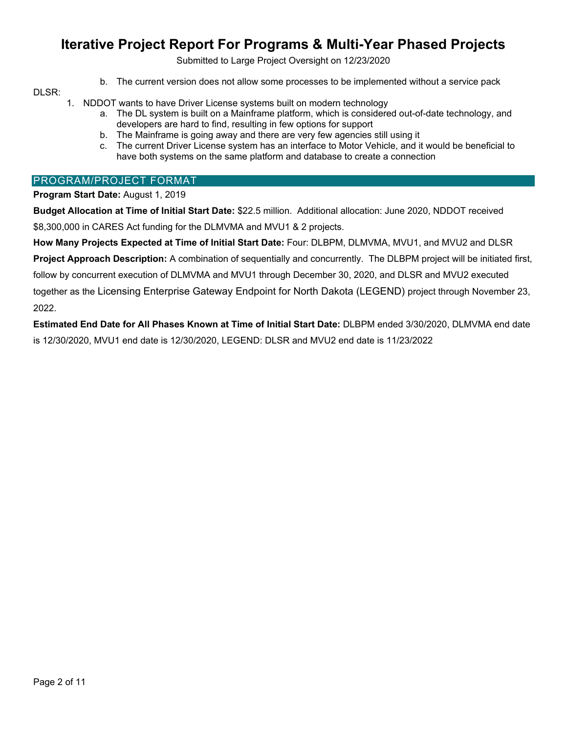Submitted to Large Project Oversight on 12/23/2020

b. The current version does not allow some processes to be implemented without a service pack

#### DLSR:

- 1. NDDOT wants to have Driver License systems built on modern technology
	- a. The DL system is built on a Mainframe platform, which is considered out-of-date technology, and developers are hard to find, resulting in few options for support
	- b. The Mainframe is going away and there are very few agencies still using it
	- c. The current Driver License system has an interface to Motor Vehicle, and it would be beneficial to have both systems on the same platform and database to create a connection

#### PROGRAM/PROJECT FORMAT

#### **Program Start Date:** August 1, 2019

**Budget Allocation at Time of Initial Start Date:** \$22.5 million. Additional allocation: June 2020, NDDOT received \$8,300,000 in CARES Act funding for the DLMVMA and MVU1 & 2 projects.

**How Many Projects Expected at Time of Initial Start Date:** Four: DLBPM, DLMVMA, MVU1, and MVU2 and DLSR **Project Approach Description:** A combination of sequentially and concurrently. The DLBPM project will be initiated first, follow by concurrent execution of DLMVMA and MVU1 through December 30, 2020, and DLSR and MVU2 executed together as the Licensing Enterprise Gateway Endpoint for North Dakota (LEGEND) project through November 23, 2022.

**Estimated End Date for All Phases Known at Time of Initial Start Date:** DLBPM ended 3/30/2020, DLMVMA end date is 12/30/2020, MVU1 end date is 12/30/2020, LEGEND: DLSR and MVU2 end date is 11/23/2022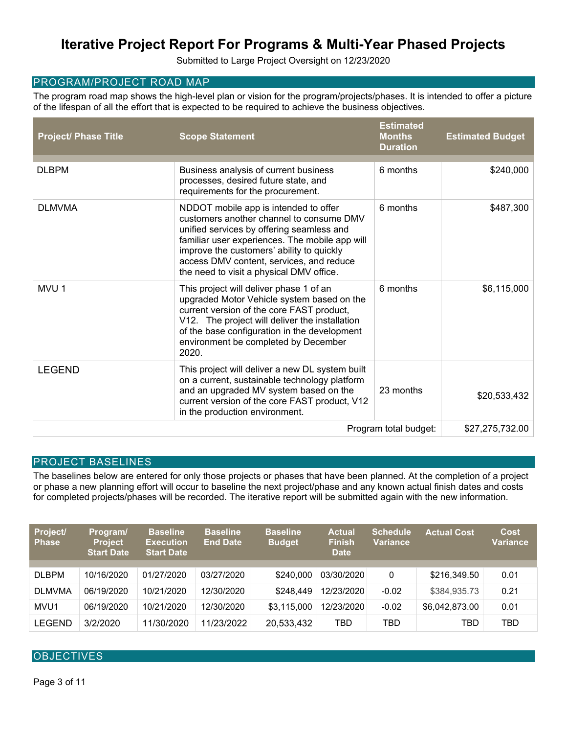Submitted to Large Project Oversight on 12/23/2020

#### PROGRAM/PROJECT ROAD MAP

The program road map shows the high-level plan or vision for the program/projects/phases. It is intended to offer a picture of the lifespan of all the effort that is expected to be required to achieve the business objectives.

| <b>Project/ Phase Title</b> | <b>Scope Statement</b>                                                                                                                                                                                                                                                                                                | <b>Estimated</b><br><b>Months</b><br><b>Duration</b> | <b>Estimated Budget</b> |
|-----------------------------|-----------------------------------------------------------------------------------------------------------------------------------------------------------------------------------------------------------------------------------------------------------------------------------------------------------------------|------------------------------------------------------|-------------------------|
| <b>DLBPM</b>                | Business analysis of current business<br>processes, desired future state, and<br>requirements for the procurement.                                                                                                                                                                                                    | 6 months                                             | \$240,000               |
| <b>DLMVMA</b>               | NDDOT mobile app is intended to offer<br>customers another channel to consume DMV<br>unified services by offering seamless and<br>familiar user experiences. The mobile app will<br>improve the customers' ability to quickly<br>access DMV content, services, and reduce<br>the need to visit a physical DMV office. | 6 months                                             | \$487,300               |
| MVU 1                       | This project will deliver phase 1 of an<br>upgraded Motor Vehicle system based on the<br>current version of the core FAST product,<br>V12. The project will deliver the installation<br>of the base configuration in the development<br>environment be completed by December<br>2020.                                 | 6 months                                             | \$6,115,000             |
| <b>LEGEND</b>               | This project will deliver a new DL system built<br>on a current, sustainable technology platform<br>and an upgraded MV system based on the<br>current version of the core FAST product, V12<br>in the production environment.                                                                                         | 23 months                                            | \$20,533,432            |
|                             |                                                                                                                                                                                                                                                                                                                       | Program total budget:                                | \$27,275,732.00         |

#### PROJECT BASELINES

The baselines below are entered for only those projects or phases that have been planned. At the completion of a project or phase a new planning effort will occur to baseline the next project/phase and any known actual finish dates and costs for completed projects/phases will be recorded. The iterative report will be submitted again with the new information.

| Project/<br><b>Phase</b> | Program/<br><b>Project</b><br><b>Start Date</b> | <b>Baseline</b><br><b>Execution</b><br><b>Start Date</b> | <b>Baseline</b><br><b>End Date</b> | <b>Baseline</b><br><b>Budget</b> | <b>Actual</b><br><b>Finish</b><br><b>Date</b> | <b>Schedule</b><br><b>Variance</b> | <b>Actual Cost</b> | <b>Cost</b><br><b>Variance</b> |
|--------------------------|-------------------------------------------------|----------------------------------------------------------|------------------------------------|----------------------------------|-----------------------------------------------|------------------------------------|--------------------|--------------------------------|
|                          |                                                 |                                                          |                                    |                                  |                                               |                                    |                    |                                |
| <b>DLBPM</b>             | 10/16/2020                                      | 01/27/2020                                               | 03/27/2020                         | \$240,000                        | 03/30/2020                                    | 0                                  | \$216,349.50       | 0.01                           |
| <b>DLMVMA</b>            | 06/19/2020                                      | 10/21/2020                                               | 12/30/2020                         | \$248.449                        | 12/23/2020                                    | $-0.02$                            | \$384,935.73       | 0.21                           |
| MVU <sub>1</sub>         | 06/19/2020                                      | 10/21/2020                                               | 12/30/2020                         | \$3,115,000                      | 12/23/2020                                    | $-0.02$                            | \$6,042,873.00     | 0.01                           |
| <b>LEGEND</b>            | 3/2/2020                                        | 11/30/2020                                               | 11/23/2022                         | 20,533,432                       | TBD                                           | TBD                                | TBD                | TBD                            |

#### **OBJECTIVES**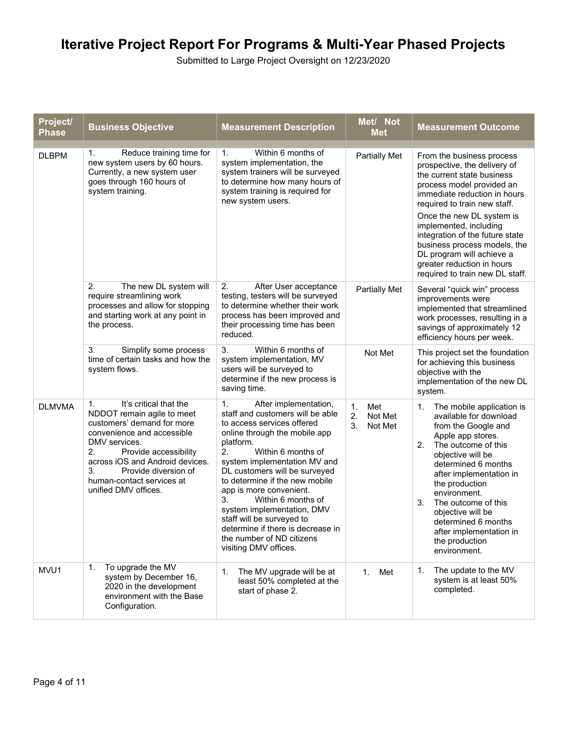| Project/<br><b>Phase</b> | <b>Business Objective</b>                                                                                                                                                                                                                                                                    | <b>Measurement Description</b>                                                                                                                                                                                                                                                                                                                                                                                                                                                          | Met/ Not<br><b>Met</b>                      | <b>Measurement Outcome</b>                                                                                                                                                                                                                                                                                                                                                                                   |
|--------------------------|----------------------------------------------------------------------------------------------------------------------------------------------------------------------------------------------------------------------------------------------------------------------------------------------|-----------------------------------------------------------------------------------------------------------------------------------------------------------------------------------------------------------------------------------------------------------------------------------------------------------------------------------------------------------------------------------------------------------------------------------------------------------------------------------------|---------------------------------------------|--------------------------------------------------------------------------------------------------------------------------------------------------------------------------------------------------------------------------------------------------------------------------------------------------------------------------------------------------------------------------------------------------------------|
| <b>DLBPM</b>             | 1.<br>Reduce training time for<br>new system users by 60 hours.<br>Currently, a new system user<br>goes through 160 hours of<br>system training.                                                                                                                                             | Within 6 months of<br>1.<br>system implementation, the<br>system trainers will be surveyed<br>to determine how many hours of<br>system training is required for<br>new system users.                                                                                                                                                                                                                                                                                                    | <b>Partially Met</b>                        | From the business process<br>prospective, the delivery of<br>the current state business<br>process model provided an<br>immediate reduction in hours<br>required to train new staff.<br>Once the new DL system is<br>implemented, including<br>integration of the future state<br>business process models, the<br>DL program will achieve a<br>greater reduction in hours<br>required to train new DL staff. |
|                          | 2.<br>The new DL system will<br>require streamlining work<br>processes and allow for stopping<br>and starting work at any point in<br>the process.                                                                                                                                           | 2.<br>After User acceptance<br>testing, testers will be surveyed<br>to determine whether their work<br>process has been improved and<br>their processing time has been<br>reduced.                                                                                                                                                                                                                                                                                                      | <b>Partially Met</b>                        | Several "quick win" process<br>improvements were<br>implemented that streamlined<br>work processes, resulting in a<br>savings of approximately 12<br>efficiency hours per week.                                                                                                                                                                                                                              |
|                          | Simplify some process<br>3.<br>time of certain tasks and how the<br>system flows.                                                                                                                                                                                                            | 3.<br>Within 6 months of<br>system implementation, MV<br>users will be surveyed to<br>determine if the new process is<br>saving time.                                                                                                                                                                                                                                                                                                                                                   | Not Met                                     | This project set the foundation<br>for achieving this business<br>objective with the<br>implementation of the new DL<br>system.                                                                                                                                                                                                                                                                              |
| <b>DLMVMA</b>            | It's critical that the<br>1.<br>NDDOT remain agile to meet<br>customers' demand for more<br>convenience and accessible<br>DMV services.<br>2.<br>Provide accessibility<br>across iOS and Android devices.<br>3.<br>Provide diversion of<br>human-contact services at<br>unified DMV offices. | After implementation,<br>1.<br>staff and customers will be able<br>to access services offered<br>online through the mobile app<br>platform.<br>2.<br>Within 6 months of<br>system implementation MV and<br>DL customers will be surveyed<br>to determine if the new mobile<br>app is more convenient.<br>3.<br>Within 6 months of<br>system implementation, DMV<br>staff will be surveyed to<br>determine if there is decrease in<br>the number of ND citizens<br>visiting DMV offices. | Met<br>1.<br>2.<br>Not Met<br>3.<br>Not Met | The mobile application is<br>1.<br>available for download<br>from the Google and<br>Apple app stores.<br>2.<br>The outcome of this<br>objective will be<br>determined 6 months<br>after implementation in<br>the production<br>environment.<br>3.<br>The outcome of this<br>objective will be<br>determined 6 months<br>after implementation in<br>the production<br>environment.                            |
| MVU1                     | To upgrade the MV<br>1.<br>system by December 16,<br>2020 in the development<br>environment with the Base<br>Configuration.                                                                                                                                                                  | 1.<br>The MV upgrade will be at<br>least 50% completed at the<br>start of phase 2.                                                                                                                                                                                                                                                                                                                                                                                                      | 1. Met                                      | 1.<br>The update to the MV<br>system is at least 50%<br>completed.                                                                                                                                                                                                                                                                                                                                           |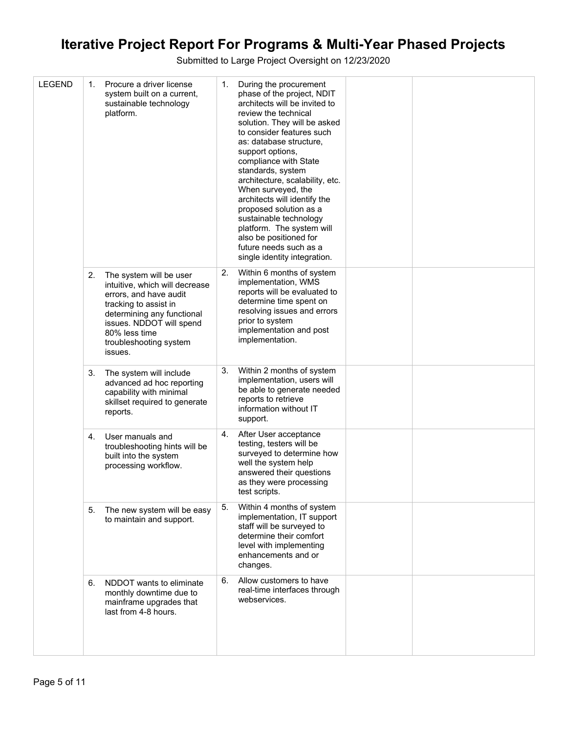| <b>LEGEND</b> | 1. | Procure a driver license<br>system built on a current,<br>sustainable technology<br>platform.                                                                                                                                | 1. | During the procurement<br>phase of the project, NDIT<br>architects will be invited to<br>review the technical<br>solution. They will be asked<br>to consider features such<br>as: database structure,<br>support options,<br>compliance with State<br>standards, system<br>architecture, scalability, etc.<br>When surveyed, the<br>architects will identify the<br>proposed solution as a<br>sustainable technology<br>platform. The system will<br>also be positioned for<br>future needs such as a<br>single identity integration. |  |
|---------------|----|------------------------------------------------------------------------------------------------------------------------------------------------------------------------------------------------------------------------------|----|---------------------------------------------------------------------------------------------------------------------------------------------------------------------------------------------------------------------------------------------------------------------------------------------------------------------------------------------------------------------------------------------------------------------------------------------------------------------------------------------------------------------------------------|--|
|               | 2. | The system will be user<br>intuitive, which will decrease<br>errors, and have audit<br>tracking to assist in<br>determining any functional<br>issues. NDDOT will spend<br>80% less time<br>troubleshooting system<br>issues. | 2. | Within 6 months of system<br>implementation, WMS<br>reports will be evaluated to<br>determine time spent on<br>resolving issues and errors<br>prior to system<br>implementation and post<br>implementation.                                                                                                                                                                                                                                                                                                                           |  |
|               | 3. | The system will include<br>advanced ad hoc reporting<br>capability with minimal<br>skillset required to generate<br>reports.                                                                                                 | 3. | Within 2 months of system<br>implementation, users will<br>be able to generate needed<br>reports to retrieve<br>information without IT<br>support.                                                                                                                                                                                                                                                                                                                                                                                    |  |
|               | 4. | User manuals and<br>troubleshooting hints will be<br>built into the system<br>processing workflow.                                                                                                                           | 4. | After User acceptance<br>testing, testers will be<br>surveyed to determine how<br>well the system help<br>answered their questions<br>as they were processing<br>test scripts.                                                                                                                                                                                                                                                                                                                                                        |  |
|               | 5. | The new system will be easy<br>to maintain and support.                                                                                                                                                                      | 5. | Within 4 months of system<br>implementation, IT support<br>staff will be surveyed to<br>determine their comfort<br>level with implementing<br>enhancements and or<br>changes.                                                                                                                                                                                                                                                                                                                                                         |  |
|               | 6. | NDDOT wants to eliminate<br>monthly downtime due to<br>mainframe upgrades that<br>last from 4-8 hours.                                                                                                                       | 6. | Allow customers to have<br>real-time interfaces through<br>webservices.                                                                                                                                                                                                                                                                                                                                                                                                                                                               |  |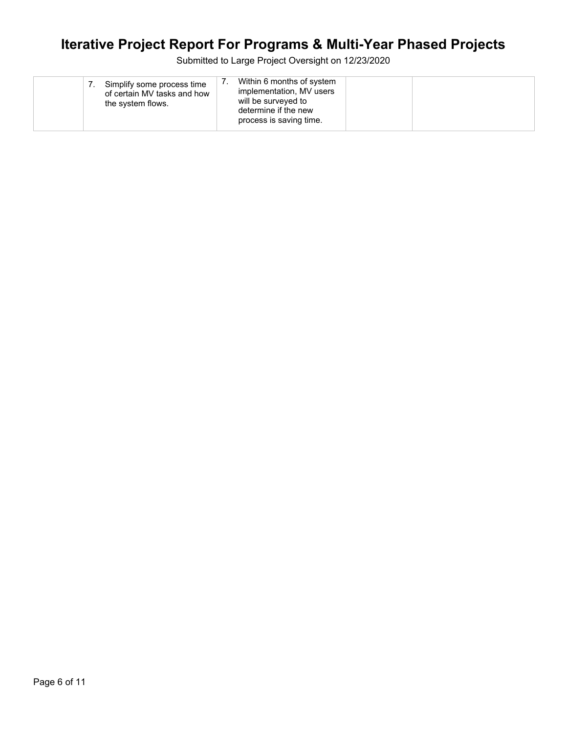| Simplify some process time<br>of certain MV tasks and how<br>the system flows. | Within 6 months of system<br>implementation, MV users<br>will be surveyed to<br>determine if the new<br>process is saving time. |  |
|--------------------------------------------------------------------------------|---------------------------------------------------------------------------------------------------------------------------------|--|
|--------------------------------------------------------------------------------|---------------------------------------------------------------------------------------------------------------------------------|--|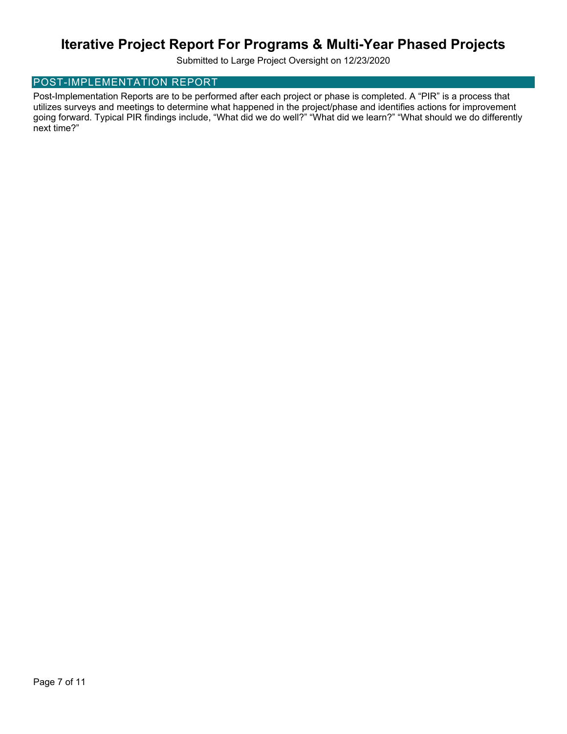Submitted to Large Project Oversight on 12/23/2020

#### POST-IMPLEMENTATION REPORT

Post-Implementation Reports are to be performed after each project or phase is completed. A "PIR" is a process that utilizes surveys and meetings to determine what happened in the project/phase and identifies actions for improvement going forward. Typical PIR findings include, "What did we do well?" "What did we learn?" "What should we do differently next time?"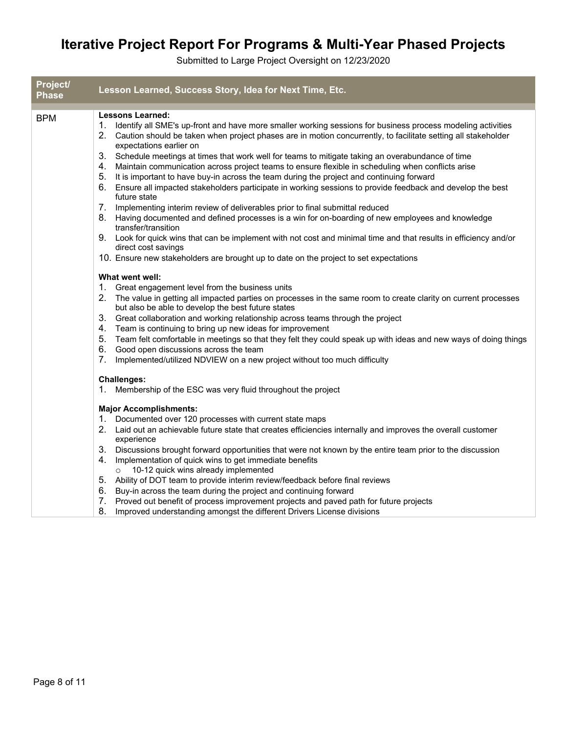| Project/<br><b>Phase</b> | Lesson Learned, Success Story, Idea for Next Time, Etc.                                                                                                                                                                                                                                                                                                                                                                                                                                                                                                                                                                                                                                                                                                                                                                                                                                                                                                                                                                                                                                              |
|--------------------------|------------------------------------------------------------------------------------------------------------------------------------------------------------------------------------------------------------------------------------------------------------------------------------------------------------------------------------------------------------------------------------------------------------------------------------------------------------------------------------------------------------------------------------------------------------------------------------------------------------------------------------------------------------------------------------------------------------------------------------------------------------------------------------------------------------------------------------------------------------------------------------------------------------------------------------------------------------------------------------------------------------------------------------------------------------------------------------------------------|
|                          |                                                                                                                                                                                                                                                                                                                                                                                                                                                                                                                                                                                                                                                                                                                                                                                                                                                                                                                                                                                                                                                                                                      |
| <b>BPM</b>               | <b>Lessons Learned:</b><br>1. Identify all SME's up-front and have more smaller working sessions for business process modeling activities<br>2. Caution should be taken when project phases are in motion concurrently, to facilitate setting all stakeholder<br>expectations earlier on<br>3. Schedule meetings at times that work well for teams to mitigate taking an overabundance of time<br>4. Maintain communication across project teams to ensure flexible in scheduling when conflicts arise<br>5. It is important to have buy-in across the team during the project and continuing forward<br>6.<br>Ensure all impacted stakeholders participate in working sessions to provide feedback and develop the best<br>future state<br>7. Implementing interim review of deliverables prior to final submittal reduced<br>8. Having documented and defined processes is a win for on-boarding of new employees and knowledge<br>transfer/transition<br>9. Look for quick wins that can be implement with not cost and minimal time and that results in efficiency and/or<br>direct cost savings |
|                          | 10. Ensure new stakeholders are brought up to date on the project to set expectations                                                                                                                                                                                                                                                                                                                                                                                                                                                                                                                                                                                                                                                                                                                                                                                                                                                                                                                                                                                                                |
|                          | What went well:<br>1. Great engagement level from the business units<br>2. The value in getting all impacted parties on processes in the same room to create clarity on current processes<br>but also be able to develop the best future states<br>3. Great collaboration and working relationship across teams through the project<br>4. Team is continuing to bring up new ideas for improvement<br>Team felt comfortable in meetings so that they felt they could speak up with ideas and new ways of doing things<br>5.<br>Good open discussions across the team<br>6.<br>7.<br>Implemented/utilized NDVIEW on a new project without too much difficulty<br><b>Challenges:</b><br>1. Membership of the ESC was very fluid throughout the project                                                                                                                                                                                                                                                                                                                                                 |
|                          | <b>Major Accomplishments:</b><br>1. Documented over 120 processes with current state maps<br>2. Laid out an achievable future state that creates efficiencies internally and improves the overall customer<br>experience<br>3. Discussions brought forward opportunities that were not known by the entire team prior to the discussion<br>4. Implementation of quick wins to get immediate benefits<br>10-12 quick wins already implemented<br>$\circ$<br>5. Ability of DOT team to provide interim review/feedback before final reviews<br>6. Buy-in across the team during the project and continuing forward<br>7. Proved out benefit of process improvement projects and paved path for future projects<br>8.<br>Improved understanding amongst the different Drivers License divisions                                                                                                                                                                                                                                                                                                         |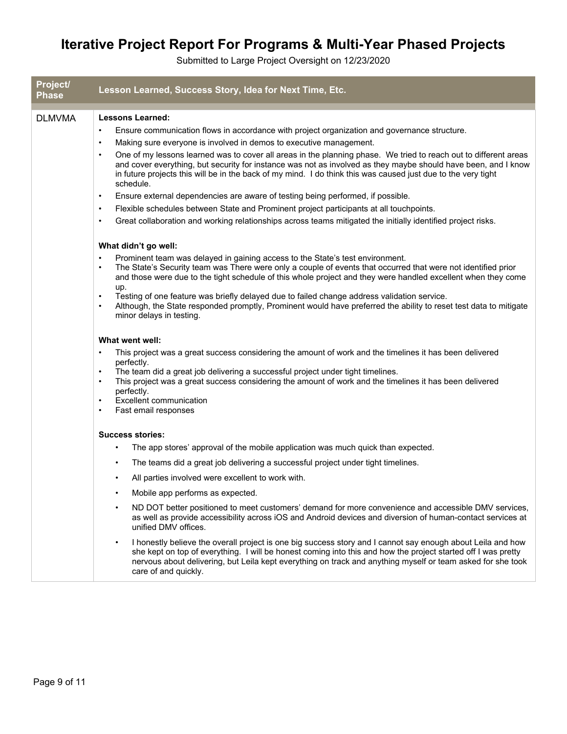| Project/<br>Phase | Lesson Learned, Success Story, Idea for Next Time, Etc.                                                                                                                                                                                                                                                                                                                          |
|-------------------|----------------------------------------------------------------------------------------------------------------------------------------------------------------------------------------------------------------------------------------------------------------------------------------------------------------------------------------------------------------------------------|
| <b>DLMVMA</b>     | <b>Lessons Learned:</b>                                                                                                                                                                                                                                                                                                                                                          |
|                   | Ensure communication flows in accordance with project organization and governance structure.<br>$\bullet$                                                                                                                                                                                                                                                                        |
|                   | Making sure everyone is involved in demos to executive management.<br>$\bullet$                                                                                                                                                                                                                                                                                                  |
|                   | One of my lessons learned was to cover all areas in the planning phase. We tried to reach out to different areas<br>$\bullet$<br>and cover everything, but security for instance was not as involved as they maybe should have been, and I know<br>in future projects this will be in the back of my mind. I do think this was caused just due to the very tight<br>schedule.    |
|                   | Ensure external dependencies are aware of testing being performed, if possible.<br>$\bullet$                                                                                                                                                                                                                                                                                     |
|                   | Flexible schedules between State and Prominent project participants at all touchpoints.<br>$\bullet$                                                                                                                                                                                                                                                                             |
|                   | Great collaboration and working relationships across teams mitigated the initially identified project risks.<br>$\bullet$                                                                                                                                                                                                                                                        |
|                   | What didn't go well:                                                                                                                                                                                                                                                                                                                                                             |
|                   | Prominent team was delayed in gaining access to the State's test environment.<br>$\bullet$<br>The State's Security team was There were only a couple of events that occurred that were not identified prior<br>and those were due to the tight schedule of this whole project and they were handled excellent when they come<br>up.                                              |
|                   | Testing of one feature was briefly delayed due to failed change address validation service.<br>$\bullet$<br>Although, the State responded promptly, Prominent would have preferred the ability to reset test data to mitigate<br>minor delays in testing.                                                                                                                        |
|                   | What went well:                                                                                                                                                                                                                                                                                                                                                                  |
|                   | This project was a great success considering the amount of work and the timelines it has been delivered<br>$\bullet$                                                                                                                                                                                                                                                             |
|                   | perfectly.<br>The team did a great job delivering a successful project under tight timelines.<br>$\bullet$                                                                                                                                                                                                                                                                       |
|                   | This project was a great success considering the amount of work and the timelines it has been delivered<br>$\bullet$<br>perfectly.                                                                                                                                                                                                                                               |
|                   | <b>Excellent communication</b><br>$\bullet$<br>Fast email responses<br>$\bullet$                                                                                                                                                                                                                                                                                                 |
|                   | <b>Success stories:</b>                                                                                                                                                                                                                                                                                                                                                          |
|                   | The app stores' approval of the mobile application was much quick than expected.<br>٠                                                                                                                                                                                                                                                                                            |
|                   | The teams did a great job delivering a successful project under tight timelines.<br>$\bullet$                                                                                                                                                                                                                                                                                    |
|                   | All parties involved were excellent to work with.                                                                                                                                                                                                                                                                                                                                |
|                   | Mobile app performs as expected.                                                                                                                                                                                                                                                                                                                                                 |
|                   | ND DOT better positioned to meet customers' demand for more convenience and accessible DMV services,<br>٠<br>as well as provide accessibility across iOS and Android devices and diversion of human-contact services at<br>unified DMV offices.                                                                                                                                  |
|                   | I honestly believe the overall project is one big success story and I cannot say enough about Leila and how<br>$\bullet$<br>she kept on top of everything. I will be honest coming into this and how the project started off I was pretty<br>nervous about delivering, but Leila kept everything on track and anything myself or team asked for she took<br>care of and quickly. |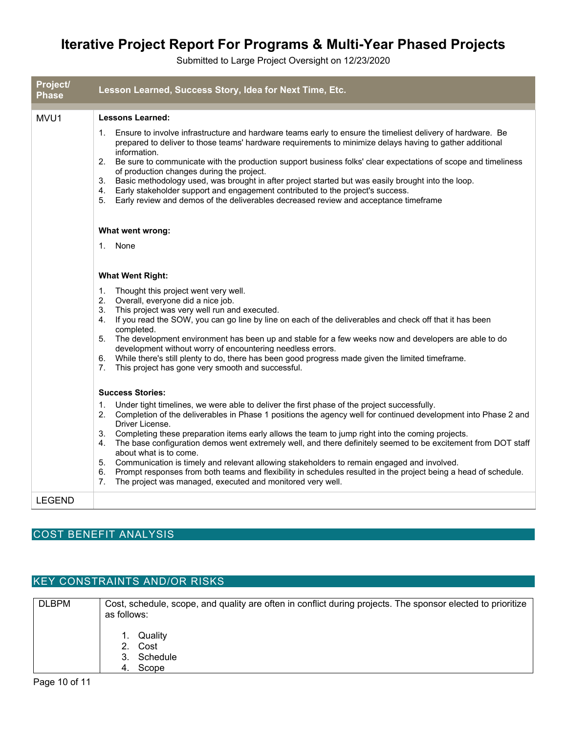Submitted to Large Project Oversight on 12/23/2020

| Project/<br><b>Phase</b> | Lesson Learned, Success Story, Idea for Next Time, Etc.                                                                                                                                                                                                                                                                                                                                                                                                                                                                                                                                                                                                                                                                                                                                         |
|--------------------------|-------------------------------------------------------------------------------------------------------------------------------------------------------------------------------------------------------------------------------------------------------------------------------------------------------------------------------------------------------------------------------------------------------------------------------------------------------------------------------------------------------------------------------------------------------------------------------------------------------------------------------------------------------------------------------------------------------------------------------------------------------------------------------------------------|
| MVU1                     | <b>Lessons Learned:</b>                                                                                                                                                                                                                                                                                                                                                                                                                                                                                                                                                                                                                                                                                                                                                                         |
|                          | 1. Ensure to involve infrastructure and hardware teams early to ensure the timeliest delivery of hardware. Be<br>prepared to deliver to those teams' hardware requirements to minimize delays having to gather additional<br>information.<br>2.<br>Be sure to communicate with the production support business folks' clear expectations of scope and timeliness<br>of production changes during the project.<br>Basic methodology used, was brought in after project started but was easily brought into the loop.<br>3.<br>Early stakeholder support and engagement contributed to the project's success.<br>4.<br>Early review and demos of the deliverables decreased review and acceptance timeframe<br>5.                                                                                 |
|                          | What went wrong:                                                                                                                                                                                                                                                                                                                                                                                                                                                                                                                                                                                                                                                                                                                                                                                |
|                          | 1. None                                                                                                                                                                                                                                                                                                                                                                                                                                                                                                                                                                                                                                                                                                                                                                                         |
|                          | <b>What Went Right:</b>                                                                                                                                                                                                                                                                                                                                                                                                                                                                                                                                                                                                                                                                                                                                                                         |
|                          | Thought this project went very well.<br>1.<br>Overall, everyone did a nice job.<br>2.<br>This project was very well run and executed.<br>3.<br>4. If you read the SOW, you can go line by line on each of the deliverables and check off that it has been<br>completed.<br>The development environment has been up and stable for a few weeks now and developers are able to do<br>5.<br>development without worry of encountering needless errors.<br>While there's still plenty to do, there has been good progress made given the limited timeframe.<br>6.<br>This project has gone very smooth and successful.<br>7.                                                                                                                                                                        |
|                          | <b>Success Stories:</b>                                                                                                                                                                                                                                                                                                                                                                                                                                                                                                                                                                                                                                                                                                                                                                         |
|                          | 1. Under tight timelines, we were able to deliver the first phase of the project successfully.<br>2. Completion of the deliverables in Phase 1 positions the agency well for continued development into Phase 2 and<br>Driver License.<br>3.<br>Completing these preparation items early allows the team to jump right into the coming projects.<br>The base configuration demos went extremely well, and there definitely seemed to be excitement from DOT staff<br>4.<br>about what is to come.<br>5. Communication is timely and relevant allowing stakeholders to remain engaged and involved.<br>Prompt responses from both teams and flexibility in schedules resulted in the project being a head of schedule.<br>6.<br>The project was managed, executed and monitored very well.<br>7. |
| <b>LEGEND</b>            |                                                                                                                                                                                                                                                                                                                                                                                                                                                                                                                                                                                                                                                                                                                                                                                                 |
|                          | <b>COST BENEFIT ANALYSIS</b>                                                                                                                                                                                                                                                                                                                                                                                                                                                                                                                                                                                                                                                                                                                                                                    |

### KEY CONSTRAINTS AND/OR RISKS

| <b>DLBPM</b> | Cost, schedule, scope, and quality are often in conflict during projects. The sponsor elected to prioritize<br>as follows: |
|--------------|----------------------------------------------------------------------------------------------------------------------------|
|              | 1. Quality<br>2. Cost<br>3. Schedule<br>4. Scope                                                                           |